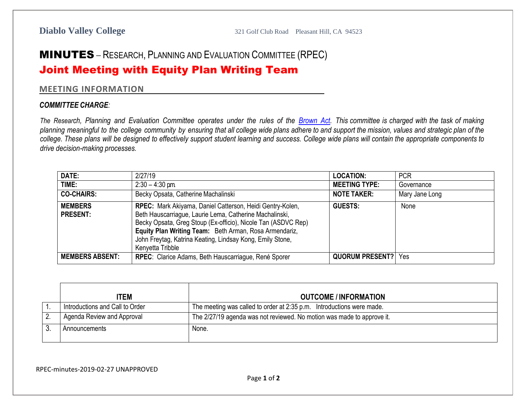## MINUTES – RESEARCH, PLANNING AND EVALUATION COMMITTEE (RPEC)

## Joint Meeting with Equity Plan Writing Team

## **MEETING INFORMATION**

## *COMMITTEE CHARGE:*

The Research, Planning and Evaluation Committee operates under the rules of the [Brown](http://ag.ca.gov/publications/2003_Intro_BrownAct.pdf) Act. This committee is charged with the task of making planning meaningful to the college community by ensuring that all college wide plans adhere to and support the mission, values and strategic plan of the college. These plans will be designed to effectively support student learning and success. College wide plans will contain the appropriate components to *drive decision-making processes.*

| DATE:                             | 2/27/19                                                                                                                                                                                                                                                                                                                          | <b>LOCATION:</b>       | <b>PCR</b>     |
|-----------------------------------|----------------------------------------------------------------------------------------------------------------------------------------------------------------------------------------------------------------------------------------------------------------------------------------------------------------------------------|------------------------|----------------|
| TIME:                             | $2:30 - 4:30$ pm                                                                                                                                                                                                                                                                                                                 | <b>MEETING TYPE:</b>   | Governance     |
| <b>CO-CHAIRS:</b>                 | Becky Opsata, Catherine Machalinski                                                                                                                                                                                                                                                                                              | <b>NOTE TAKER:</b>     | Mary Jane Long |
| <b>MEMBERS</b><br><b>PRESENT:</b> | RPEC: Mark Akiyama, Daniel Catterson, Heidi Gentry-Kolen,<br>Beth Hauscarriague, Laurie Lema, Catherine Machalinski,<br>Becky Opsata, Greg Stoup (Ex-officio), Nicole Tan (ASDVC Rep)<br>Equity Plan Writing Team: Beth Arman, Rosa Armendariz,<br>John Freytag, Katrina Keating, Lindsay Kong, Emily Stone,<br>Kenyetta Tribble | <b>GUESTS:</b>         | None           |
| <b>MEMBERS ABSENT:</b>            | RPEC: Clarice Adams, Beth Hauscarriague, René Sporer                                                                                                                                                                                                                                                                             | <b>QUORUM PRESENT?</b> | Yes            |

| <b>ITEM</b>                     | <b>OUTCOME / INFORMATION</b>                                           |
|---------------------------------|------------------------------------------------------------------------|
| Introductions and Call to Order | The meeting was called to order at 2:35 p.m. Introductions were made.  |
| Agenda Review and Approval      | The 2/27/19 agenda was not reviewed. No motion was made to approve it. |
| Announcements                   | None.                                                                  |